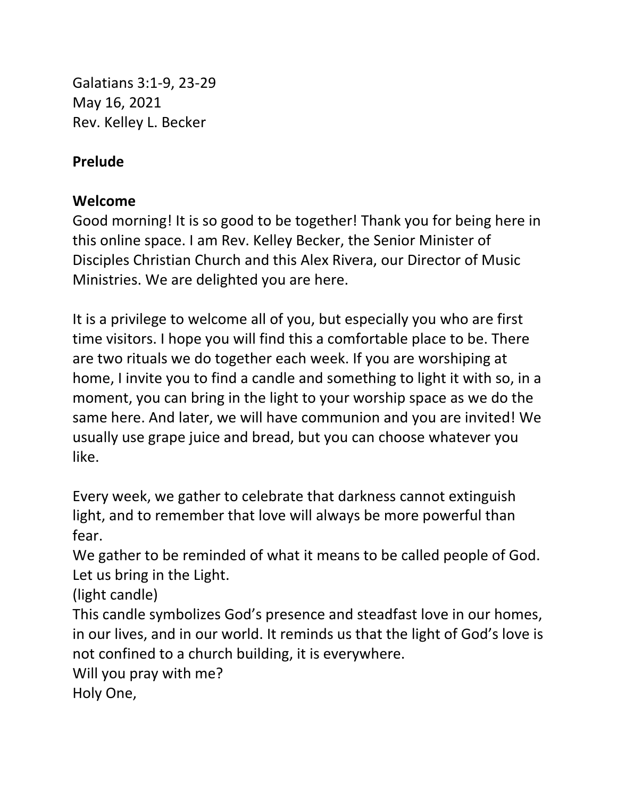Galatians 3:1-9, 23-29 May 16, 2021 Rev. Kelley L. Becker

### **Prelude**

### **Welcome**

Good morning! It is so good to be together! Thank you for being here in this online space. I am Rev. Kelley Becker, the Senior Minister of Disciples Christian Church and this Alex Rivera, our Director of Music Ministries. We are delighted you are here.

It is a privilege to welcome all of you, but especially you who are first time visitors. I hope you will find this a comfortable place to be. There are two rituals we do together each week. If you are worshiping at home, I invite you to find a candle and something to light it with so, in a moment, you can bring in the light to your worship space as we do the same here. And later, we will have communion and you are invited! We usually use grape juice and bread, but you can choose whatever you like.

Every week, we gather to celebrate that darkness cannot extinguish light, and to remember that love will always be more powerful than fear.

We gather to be reminded of what it means to be called people of God. Let us bring in the Light.

(light candle)

This candle symbolizes God's presence and steadfast love in our homes, in our lives, and in our world. It reminds us that the light of God's love is not confined to a church building, it is everywhere.

Will you pray with me?

Holy One,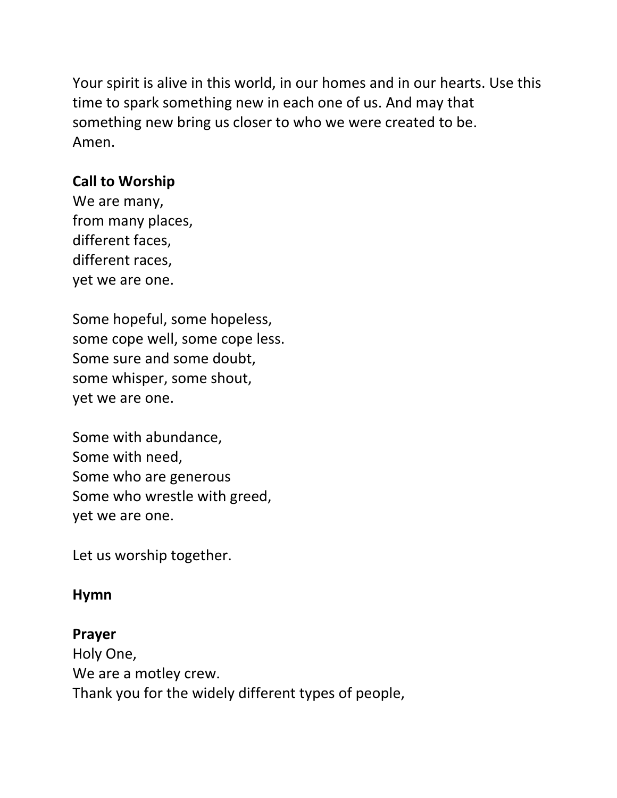Your spirit is alive in this world, in our homes and in our hearts. Use this time to spark something new in each one of us. And may that something new bring us closer to who we were created to be. Amen.

## **Call to Worship**

We are many, from many places, different faces, different races, yet we are one.

Some hopeful, some hopeless, some cope well, some cope less. Some sure and some doubt, some whisper, some shout, yet we are one.

Some with abundance, Some with need, Some who are generous Some who wrestle with greed, yet we are one.

Let us worship together.

### **Hymn**

#### **Prayer**

Holy One, We are a motley crew. Thank you for the widely different types of people,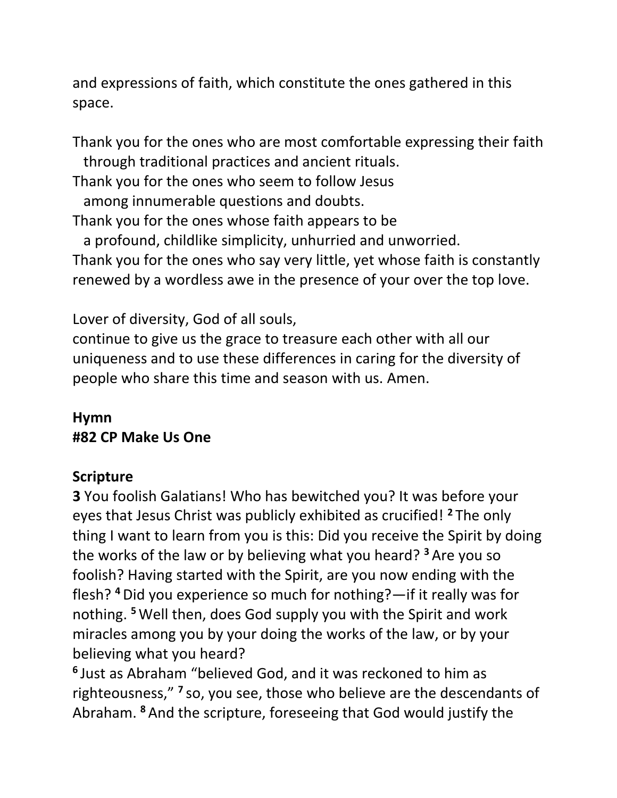and expressions of faith, which constitute the ones gathered in this space.

Thank you for the ones who are most comfortable expressing their faith through traditional practices and ancient rituals. Thank you for the ones who seem to follow Jesus among innumerable questions and doubts. Thank you for the ones whose faith appears to be a profound, childlike simplicity, unhurried and unworried. Thank you for the ones who say very little, yet whose faith is constantly renewed by a wordless awe in the presence of your over the top love.

Lover of diversity, God of all souls,

continue to give us the grace to treasure each other with all our uniqueness and to use these differences in caring for the diversity of people who share this time and season with us. Amen.

# **Hymn #82 CP Make Us One**

# **Scripture**

**3** You foolish Galatians! Who has bewitched you? It was before your eyes that Jesus Christ was publicly exhibited as crucified! **<sup>2</sup>** The only thing I want to learn from you is this: Did you receive the Spirit by doing the works of the law or by believing what you heard? **<sup>3</sup>** Are you so foolish? Having started with the Spirit, are you now ending with the flesh? **<sup>4</sup>**Did you experience so much for nothing?—if it really was for nothing. **<sup>5</sup>**Well then, does God supply you with the Spirit and work miracles among you by your doing the works of the law, or by your believing what you heard?

**6** Just as Abraham "believed God, and it was reckoned to him as righteousness," **<sup>7</sup>** so, you see, those who believe are the descendants of Abraham. **<sup>8</sup>** And the scripture, foreseeing that God would justify the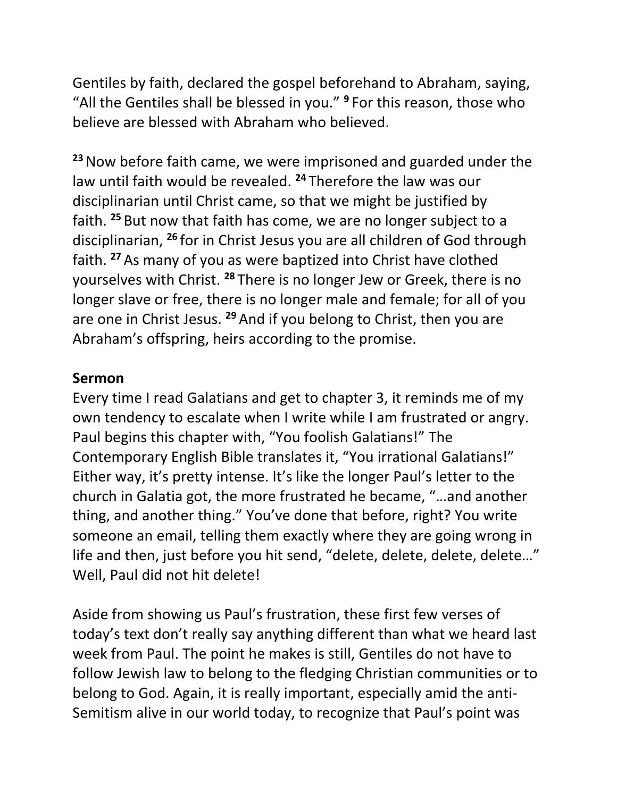Gentiles by faith, declared the gospel beforehand to Abraham, saying, "All the Gentiles shall be blessed in you." **<sup>9</sup>** For this reason, those who believe are blessed with Abraham who believed.

**<sup>23</sup>**Now before faith came, we were imprisoned and guarded under the law until faith would be revealed. **<sup>24</sup>** Therefore the law was our disciplinarian until Christ came, so that we might be justified by faith. **<sup>25</sup>** But now that faith has come, we are no longer subject to a disciplinarian, **<sup>26</sup>** for in Christ Jesus you are all children of God through faith. **<sup>27</sup>** As many of you as were baptized into Christ have clothed yourselves with Christ. **<sup>28</sup>** There is no longer Jew or Greek, there is no longer slave or free, there is no longer male and female; for all of you are one in Christ Jesus. **<sup>29</sup>** And if you belong to Christ, then you are Abraham's offspring, heirs according to the promise.

#### **Sermon**

Every time I read Galatians and get to chapter 3, it reminds me of my own tendency to escalate when I write while I am frustrated or angry. Paul begins this chapter with, "You foolish Galatians!" The Contemporary English Bible translates it, "You irrational Galatians!" Either way, it's pretty intense. It's like the longer Paul's letter to the church in Galatia got, the more frustrated he became, "…and another thing, and another thing." You've done that before, right? You write someone an email, telling them exactly where they are going wrong in life and then, just before you hit send, "delete, delete, delete, delete…" Well, Paul did not hit delete!

Aside from showing us Paul's frustration, these first few verses of today's text don't really say anything different than what we heard last week from Paul. The point he makes is still, Gentiles do not have to follow Jewish law to belong to the fledging Christian communities or to belong to God. Again, it is really important, especially amid the anti-Semitism alive in our world today, to recognize that Paul's point was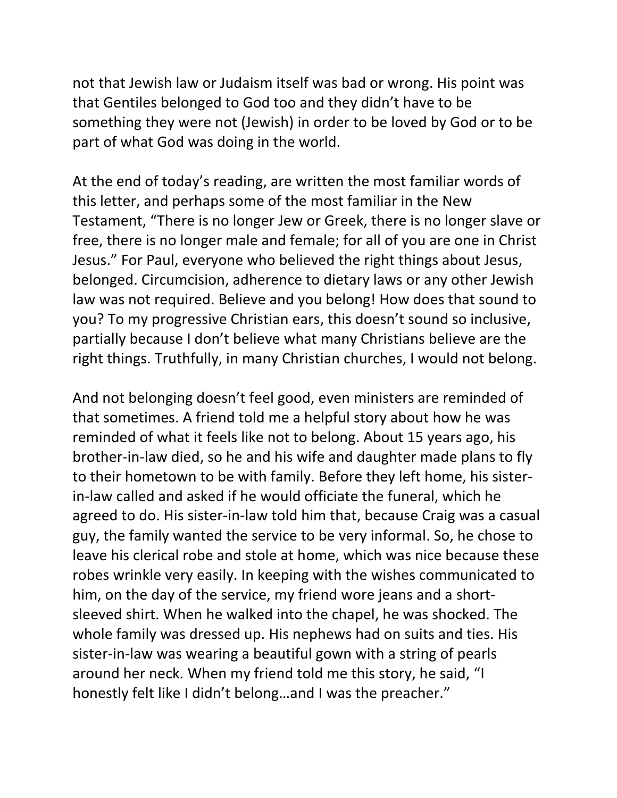not that Jewish law or Judaism itself was bad or wrong. His point was that Gentiles belonged to God too and they didn't have to be something they were not (Jewish) in order to be loved by God or to be part of what God was doing in the world.

At the end of today's reading, are written the most familiar words of this letter, and perhaps some of the most familiar in the New Testament, "There is no longer Jew or Greek, there is no longer slave or free, there is no longer male and female; for all of you are one in Christ Jesus." For Paul, everyone who believed the right things about Jesus, belonged. Circumcision, adherence to dietary laws or any other Jewish law was not required. Believe and you belong! How does that sound to you? To my progressive Christian ears, this doesn't sound so inclusive, partially because I don't believe what many Christians believe are the right things. Truthfully, in many Christian churches, I would not belong.

And not belonging doesn't feel good, even ministers are reminded of that sometimes. A friend told me a helpful story about how he was reminded of what it feels like not to belong. About 15 years ago, his brother-in-law died, so he and his wife and daughter made plans to fly to their hometown to be with family. Before they left home, his sisterin-law called and asked if he would officiate the funeral, which he agreed to do. His sister-in-law told him that, because Craig was a casual guy, the family wanted the service to be very informal. So, he chose to leave his clerical robe and stole at home, which was nice because these robes wrinkle very easily. In keeping with the wishes communicated to him, on the day of the service, my friend wore jeans and a shortsleeved shirt. When he walked into the chapel, he was shocked. The whole family was dressed up. His nephews had on suits and ties. His sister-in-law was wearing a beautiful gown with a string of pearls around her neck. When my friend told me this story, he said, "I honestly felt like I didn't belong…and I was the preacher."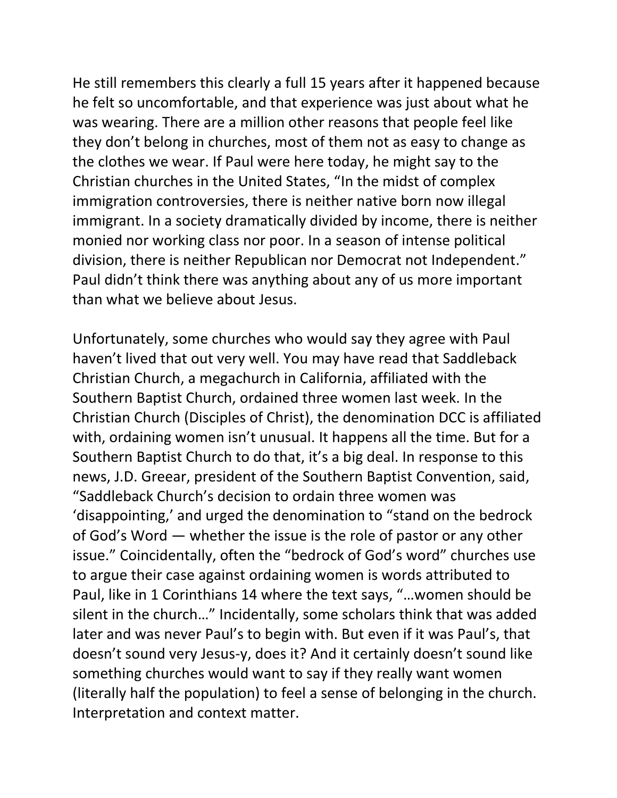He still remembers this clearly a full 15 years after it happened because he felt so uncomfortable, and that experience was just about what he was wearing. There are a million other reasons that people feel like they don't belong in churches, most of them not as easy to change as the clothes we wear. If Paul were here today, he might say to the Christian churches in the United States, "In the midst of complex immigration controversies, there is neither native born now illegal immigrant. In a society dramatically divided by income, there is neither monied nor working class nor poor. In a season of intense political division, there is neither Republican nor Democrat not Independent." Paul didn't think there was anything about any of us more important than what we believe about Jesus.

Unfortunately, some churches who would say they agree with Paul haven't lived that out very well. You may have read that Saddleback Christian Church, a megachurch in California, affiliated with the Southern Baptist Church, ordained three women last week. In the Christian Church (Disciples of Christ), the denomination DCC is affiliated with, ordaining women isn't unusual. It happens all the time. But for a Southern Baptist Church to do that, it's a big deal. In response to this news, J.D. Greear, president of the Southern Baptist Convention, said, "Saddleback Church's decision to ordain three women was 'disappointing,' and urged the denomination to "stand on the bedrock of God's Word — whether the issue is the role of pastor or any other issue." Coincidentally, often the "bedrock of God's word" churches use to argue their case against ordaining women is words attributed to Paul, like in 1 Corinthians 14 where the text says, "…women should be silent in the church…" Incidentally, some scholars think that was added later and was never Paul's to begin with. But even if it was Paul's, that doesn't sound very Jesus-y, does it? And it certainly doesn't sound like something churches would want to say if they really want women (literally half the population) to feel a sense of belonging in the church. Interpretation and context matter.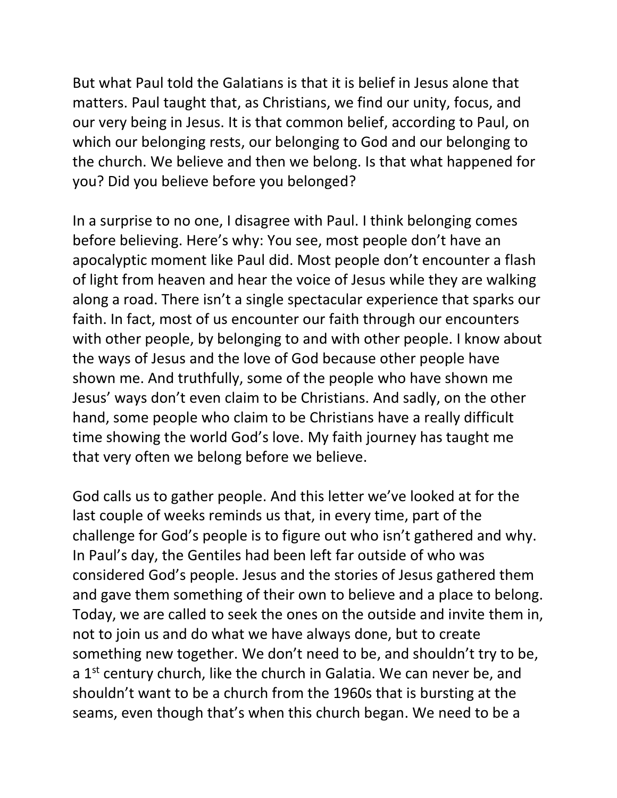But what Paul told the Galatians is that it is belief in Jesus alone that matters. Paul taught that, as Christians, we find our unity, focus, and our very being in Jesus. It is that common belief, according to Paul, on which our belonging rests, our belonging to God and our belonging to the church. We believe and then we belong. Is that what happened for you? Did you believe before you belonged?

In a surprise to no one, I disagree with Paul. I think belonging comes before believing. Here's why: You see, most people don't have an apocalyptic moment like Paul did. Most people don't encounter a flash of light from heaven and hear the voice of Jesus while they are walking along a road. There isn't a single spectacular experience that sparks our faith. In fact, most of us encounter our faith through our encounters with other people, by belonging to and with other people. I know about the ways of Jesus and the love of God because other people have shown me. And truthfully, some of the people who have shown me Jesus' ways don't even claim to be Christians. And sadly, on the other hand, some people who claim to be Christians have a really difficult time showing the world God's love. My faith journey has taught me that very often we belong before we believe.

God calls us to gather people. And this letter we've looked at for the last couple of weeks reminds us that, in every time, part of the challenge for God's people is to figure out who isn't gathered and why. In Paul's day, the Gentiles had been left far outside of who was considered God's people. Jesus and the stories of Jesus gathered them and gave them something of their own to believe and a place to belong. Today, we are called to seek the ones on the outside and invite them in, not to join us and do what we have always done, but to create something new together. We don't need to be, and shouldn't try to be, a 1<sup>st</sup> century church, like the church in Galatia. We can never be, and shouldn't want to be a church from the 1960s that is bursting at the seams, even though that's when this church began. We need to be a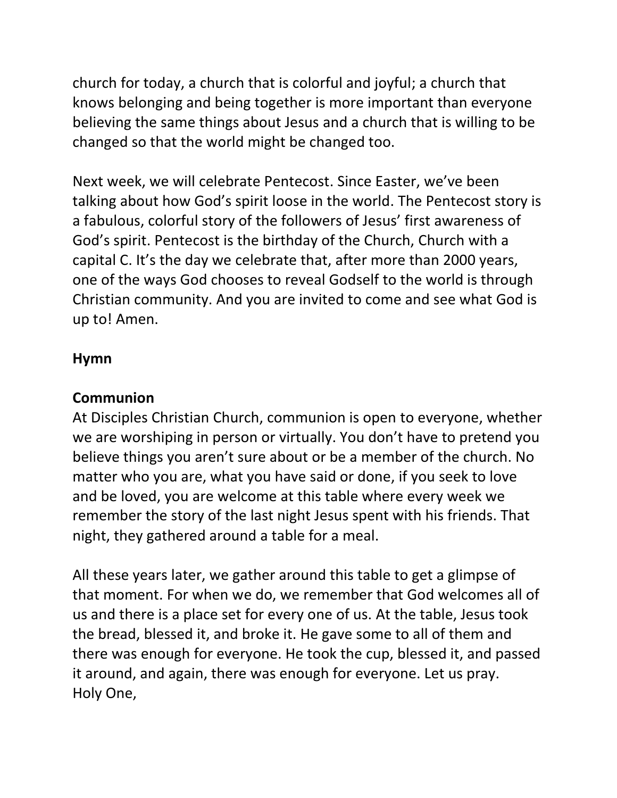church for today, a church that is colorful and joyful; a church that knows belonging and being together is more important than everyone believing the same things about Jesus and a church that is willing to be changed so that the world might be changed too.

Next week, we will celebrate Pentecost. Since Easter, we've been talking about how God's spirit loose in the world. The Pentecost story is a fabulous, colorful story of the followers of Jesus' first awareness of God's spirit. Pentecost is the birthday of the Church, Church with a capital C. It's the day we celebrate that, after more than 2000 years, one of the ways God chooses to reveal Godself to the world is through Christian community. And you are invited to come and see what God is up to! Amen.

### **Hymn**

### **Communion**

At Disciples Christian Church, communion is open to everyone, whether we are worshiping in person or virtually. You don't have to pretend you believe things you aren't sure about or be a member of the church. No matter who you are, what you have said or done, if you seek to love and be loved, you are welcome at this table where every week we remember the story of the last night Jesus spent with his friends. That night, they gathered around a table for a meal.

All these years later, we gather around this table to get a glimpse of that moment. For when we do, we remember that God welcomes all of us and there is a place set for every one of us. At the table, Jesus took the bread, blessed it, and broke it. He gave some to all of them and there was enough for everyone. He took the cup, blessed it, and passed it around, and again, there was enough for everyone. Let us pray. Holy One,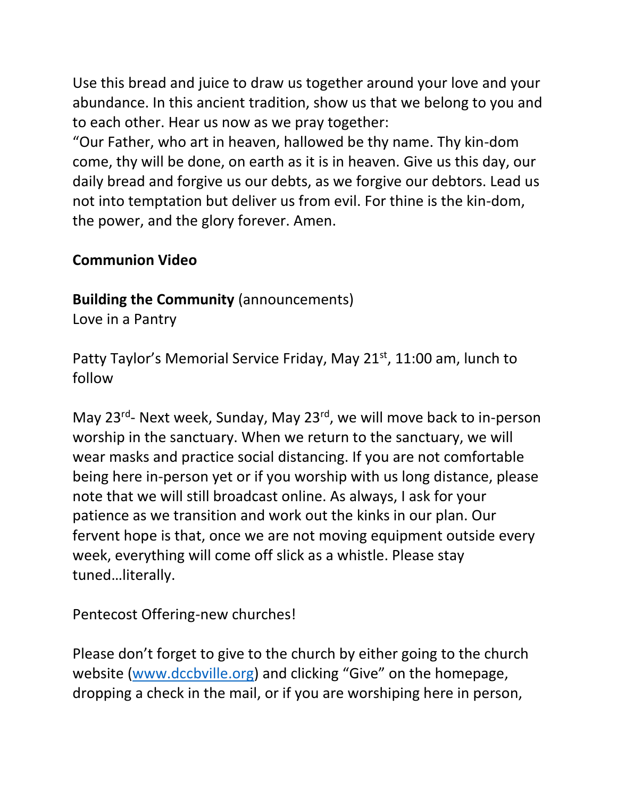Use this bread and juice to draw us together around your love and your abundance. In this ancient tradition, show us that we belong to you and to each other. Hear us now as we pray together:

"Our Father, who art in heaven, hallowed be thy name. Thy kin-dom come, thy will be done, on earth as it is in heaven. Give us this day, our daily bread and forgive us our debts, as we forgive our debtors. Lead us not into temptation but deliver us from evil. For thine is the kin-dom, the power, and the glory forever. Amen.

### **Communion Video**

**Building the Community** (announcements)

Love in a Pantry

Patty Taylor's Memorial Service Friday, May 21<sup>st</sup>, 11:00 am, lunch to follow

May 23<sup>rd</sup>- Next week, Sunday, May 23<sup>rd</sup>, we will move back to in-person worship in the sanctuary. When we return to the sanctuary, we will wear masks and practice social distancing. If you are not comfortable being here in-person yet or if you worship with us long distance, please note that we will still broadcast online. As always, I ask for your patience as we transition and work out the kinks in our plan. Our fervent hope is that, once we are not moving equipment outside every week, everything will come off slick as a whistle. Please stay tuned…literally.

Pentecost Offering-new churches!

Please don't forget to give to the church by either going to the church website [\(www.dccbville.org](http://www.dccbville.org/)) and clicking "Give" on the homepage, dropping a check in the mail, or if you are worshiping here in person,